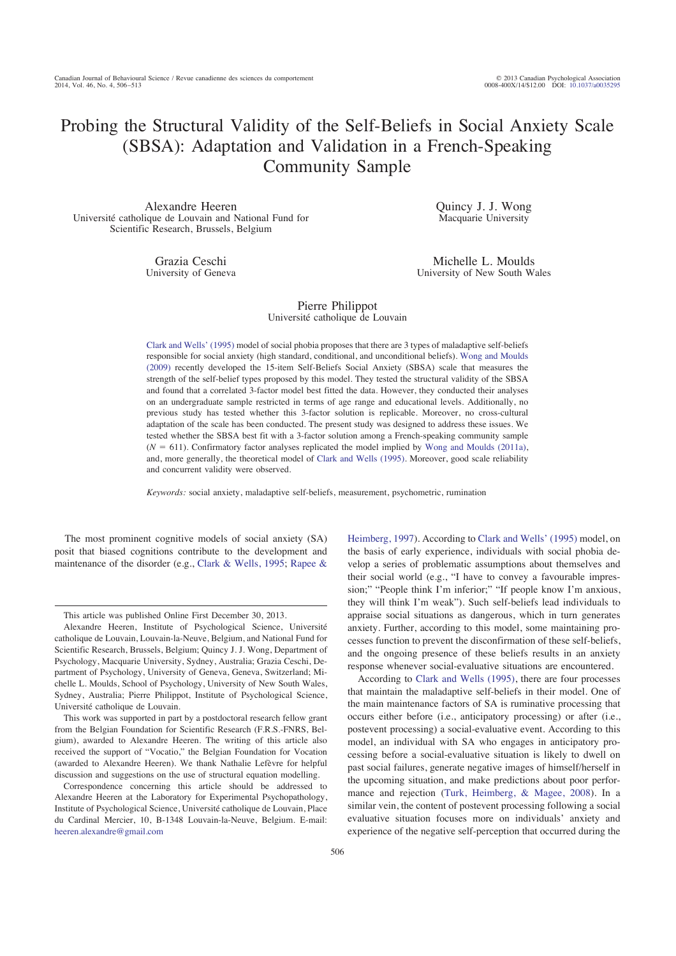# Probing the Structural Validity of the Self-Beliefs in Social Anxiety Scale (SBSA): Adaptation and Validation in a French-Speaking Community Sample

Alexandre Heeren Université catholique de Louvain and National Fund for Scientific Research, Brussels, Belgium

> Grazia Ceschi University of Geneva

Quincy J. J. Wong Macquarie University

Michelle L. Moulds University of New South Wales

# Pierre Philippot Université catholique de Louvain

Clark and Wells' (1995) model of social phobia proposes that there are 3 types of maladaptive self-beliefs responsible for social anxiety (high standard, conditional, and unconditional beliefs). Wong and Moulds (2009) recently developed the 15-item Self-Beliefs Social Anxiety (SBSA) scale that measures the strength of the self-belief types proposed by this model. They tested the structural validity of the SBSA and found that a correlated 3-factor model best fitted the data. However, they conducted their analyses on an undergraduate sample restricted in terms of age range and educational levels. Additionally, no previous study has tested whether this 3-factor solution is replicable. Moreover, no cross-cultural adaptation of the scale has been conducted. The present study was designed to address these issues. We tested whether the SBSA best fit with a 3-factor solution among a French-speaking community sample  $(N = 611)$ . Confirmatory factor analyses replicated the model implied by Wong and Moulds (2011a), and, more generally, the theoretical model of Clark and Wells (1995). Moreover, good scale reliability and concurrent validity were observed.

*Keywords:* social anxiety, maladaptive self-beliefs, measurement, psychometric, rumination

The most prominent cognitive models of social anxiety (SA) posit that biased cognitions contribute to the development and maintenance of the disorder (e.g., Clark & Wells, 1995; Rapee &

This work was supported in part by a postdoctoral research fellow grant from the Belgian Foundation for Scientific Research (F.R.S.-FNRS, Belgium), awarded to Alexandre Heeren. The writing of this article also received the support of "Vocatio," the Belgian Foundation for Vocation (awarded to Alexandre Heeren). We thank Nathalie Lefèvre for helpful discussion and suggestions on the use of structural equation modelling.

Correspondence concerning this article should be addressed to Alexandre Heeren at the Laboratory for Experimental Psychopathology, Institute of Psychological Science, Université catholique de Louvain, Place du [Cardinal Mercier, 10, B-134](mailto:heeren.alexandre@gmail.com)8 Louvain-la-Neuve, Belgium. E-mail: heeren.alexandre@gmail.com

Heimberg, 1997). According to Clark and Wells' (1995) model, on the basis of early experience, individuals with social phobia develop a series of problematic assumptions about themselves and their social world (e.g., "I have to convey a favourable impression;" "People think I'm inferior;" "If people know I'm anxious, they will think I'm weak"). Such self-beliefs lead individuals to appraise social situations as dangerous, which in turn generates anxiety. Further, according to this model, some maintaining processes function to prevent the disconfirmation of these self-beliefs, and the ongoing presence of these beliefs results in an anxiety response whenever social-evaluative situations are encountered.

According to Clark and Wells (1995), there are four processes that maintain the maladaptive self-beliefs in their model. One of the main maintenance factors of SA is ruminative processing that occurs either before (i.e., anticipatory processing) or after (i.e., postevent processing) a social-evaluative event. According to this model, an individual with SA who engages in anticipatory processing before a social-evaluative situation is likely to dwell on past social failures, generate negative images of himself/herself in the upcoming situation, and make predictions about poor performance and rejection (Turk, Heimberg, & Magee, 2008). In a similar vein, the content of postevent processing following a social evaluative situation focuses more on individuals' anxiety and experience of the negative self-perception that occurred during the

This article was published Online First December 30, 2013.

Alexandre Heeren, Institute of Psychological Science, Université catholique de Louvain, Louvain-la-Neuve, Belgium, and National Fund for Scientific Research, Brussels, Belgium; Quincy J. J. Wong, Department of Psychology, Macquarie University, Sydney, Australia; Grazia Ceschi, Department of Psychology, University of Geneva, Geneva, Switzerland; Michelle L. Moulds, School of Psychology, University of New South Wales, Sydney, Australia; Pierre Philippot, Institute of Psychological Science, Université catholique de Louvain.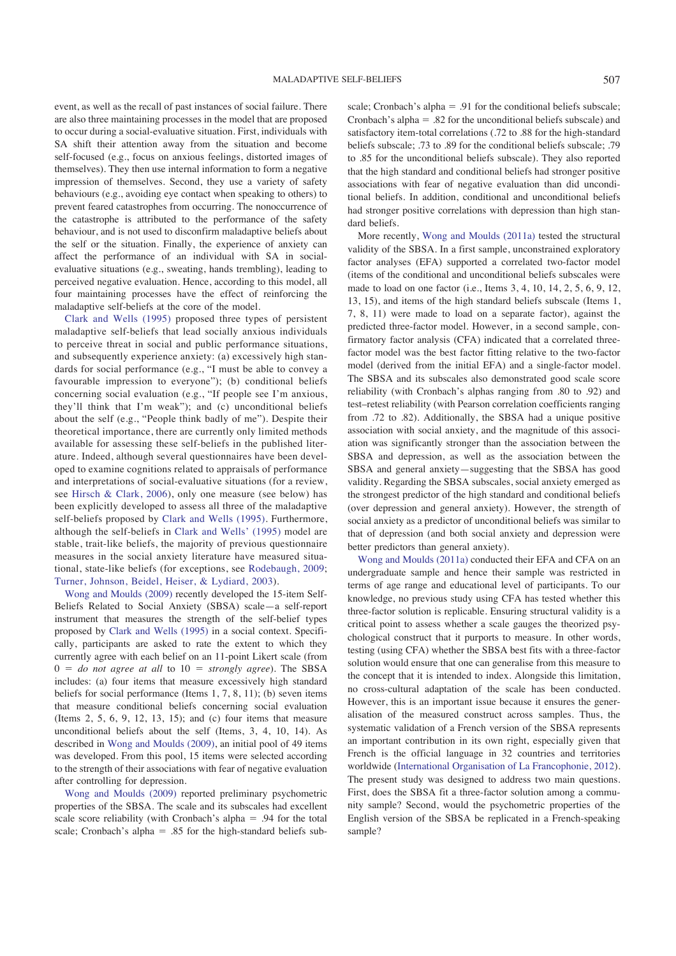event, as well as the recall of past instances of social failure. There are also three maintaining processes in the model that are proposed to occur during a social-evaluative situation. First, individuals with SA shift their attention away from the situation and become self-focused (e.g., focus on anxious feelings, distorted images of themselves). They then use internal information to form a negative impression of themselves. Second, they use a variety of safety behaviours (e.g., avoiding eye contact when speaking to others) to prevent feared catastrophes from occurring. The nonoccurrence of the catastrophe is attributed to the performance of the safety behaviour, and is not used to disconfirm maladaptive beliefs about the self or the situation. Finally, the experience of anxiety can affect the performance of an individual with SA in socialevaluative situations (e.g., sweating, hands trembling), leading to perceived negative evaluation. Hence, according to this model, all four maintaining processes have the effect of reinforcing the maladaptive self-beliefs at the core of the model.

Clark and Wells (1995) proposed three types of persistent maladaptive self-beliefs that lead socially anxious individuals to perceive threat in social and public performance situations, and subsequently experience anxiety: (a) excessively high standards for social performance (e.g., "I must be able to convey a favourable impression to everyone"); (b) conditional beliefs concerning social evaluation (e.g., "If people see I'm anxious, they'll think that I'm weak"); and (c) unconditional beliefs about the self (e.g., "People think badly of me"). Despite their theoretical importance, there are currently only limited methods available for assessing these self-beliefs in the published literature. Indeed, although several questionnaires have been developed to examine cognitions related to appraisals of performance and interpretations of social-evaluative situations (for a review, see Hirsch & Clark, 2006), only one measure (see below) has been explicitly developed to assess all three of the maladaptive self-beliefs proposed by Clark and Wells (1995). Furthermore, although the self-beliefs in Clark and Wells' (1995) model are stable, trait-like beliefs, the majority of previous questionnaire measures in the social anxiety literature have measured situational, state-like beliefs (for exceptions, see Rodebaugh, 2009; Turner, Johnson, Beidel, Heiser, & Lydiard, 2003).

Wong and Moulds (2009) recently developed the 15-item Self-Beliefs Related to Social Anxiety (SBSA) scale—a self-report instrument that measures the strength of the self-belief types proposed by Clark and Wells (1995) in a social context. Specifically, participants are asked to rate the extent to which they currently agree with each belief on an 11-point Likert scale (from  $0 = do$  *not agree at all* to  $10 =$  *strongly agree*). The SBSA includes: (a) four items that measure excessively high standard beliefs for social performance (Items 1, 7, 8, 11); (b) seven items that measure conditional beliefs concerning social evaluation (Items 2, 5, 6, 9, 12, 13, 15); and (c) four items that measure unconditional beliefs about the self (Items, 3, 4, 10, 14). As described in Wong and Moulds (2009), an initial pool of 49 items was developed. From this pool, 15 items were selected according to the strength of their associations with fear of negative evaluation after controlling for depression.

Wong and Moulds (2009) reported preliminary psychometric properties of the SBSA. The scale and its subscales had excellent scale score reliability (with Cronbach's alpha  $= .94$  for the total scale; Cronbach's alpha  $= .85$  for the high-standard beliefs subscale; Cronbach's alpha  $= .91$  for the conditional beliefs subscale; Cronbach's alpha  $= .82$  for the unconditional beliefs subscale) and satisfactory item-total correlations (.72 to .88 for the high-standard beliefs subscale; .73 to .89 for the conditional beliefs subscale; .79 to .85 for the unconditional beliefs subscale). They also reported that the high standard and conditional beliefs had stronger positive associations with fear of negative evaluation than did unconditional beliefs. In addition, conditional and unconditional beliefs had stronger positive correlations with depression than high standard beliefs.

More recently, Wong and Moulds (2011a) tested the structural validity of the SBSA. In a first sample, unconstrained exploratory factor analyses (EFA) supported a correlated two-factor model (items of the conditional and unconditional beliefs subscales were made to load on one factor (i.e., Items 3, 4, 10, 14, 2, 5, 6, 9, 12, 13, 15), and items of the high standard beliefs subscale (Items 1, 7, 8, 11) were made to load on a separate factor), against the predicted three-factor model. However, in a second sample, confirmatory factor analysis (CFA) indicated that a correlated threefactor model was the best factor fitting relative to the two-factor model (derived from the initial EFA) and a single-factor model. The SBSA and its subscales also demonstrated good scale score reliability (with Cronbach's alphas ranging from .80 to .92) and test–retest reliability (with Pearson correlation coefficients ranging from .72 to .82). Additionally, the SBSA had a unique positive association with social anxiety, and the magnitude of this association was significantly stronger than the association between the SBSA and depression, as well as the association between the SBSA and general anxiety—suggesting that the SBSA has good validity. Regarding the SBSA subscales, social anxiety emerged as the strongest predictor of the high standard and conditional beliefs (over depression and general anxiety). However, the strength of social anxiety as a predictor of unconditional beliefs was similar to that of depression (and both social anxiety and depression were better predictors than general anxiety).

Wong and Moulds (2011a) conducted their EFA and CFA on an undergraduate sample and hence their sample was restricted in terms of age range and educational level of participants. To our knowledge, no previous study using CFA has tested whether this three-factor solution is replicable. Ensuring structural validity is a critical point to assess whether a scale gauges the theorized psychological construct that it purports to measure. In other words, testing (using CFA) whether the SBSA best fits with a three-factor solution would ensure that one can generalise from this measure to the concept that it is intended to index. Alongside this limitation, no cross-cultural adaptation of the scale has been conducted. However, this is an important issue because it ensures the generalisation of the measured construct across samples. Thus, the systematic validation of a French version of the SBSA represents an important contribution in its own right, especially given that French is the official language in 32 countries and territories worldwide (International Organisation of La Francophonie, 2012). The present study was designed to address two main questions. First, does the SBSA fit a three-factor solution among a community sample? Second, would the psychometric properties of the English version of the SBSA be replicated in a French-speaking sample?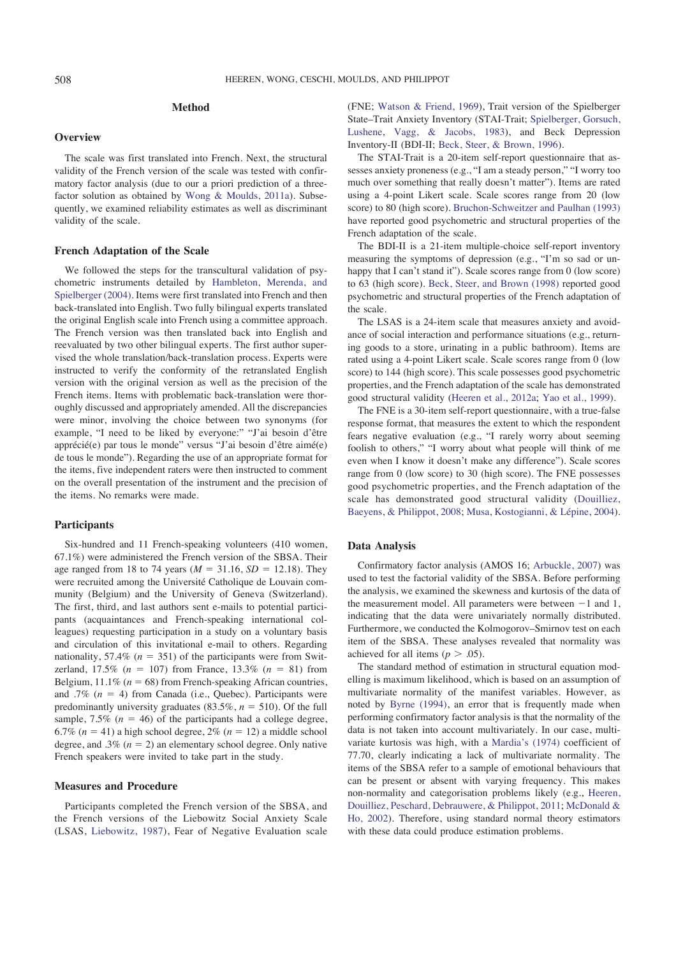## **Method**

# **Overview**

The scale was first translated into French. Next, the structural validity of the French version of the scale was tested with confirmatory factor analysis (due to our a priori prediction of a threefactor solution as obtained by Wong & Moulds, 2011a). Subsequently, we examined reliability estimates as well as discriminant validity of the scale.

#### **French Adaptation of the Scale**

We followed the steps for the transcultural validation of psychometric instruments detailed by Hambleton, Merenda, and Spielberger (2004). Items were first translated into French and then back-translated into English. Two fully bilingual experts translated the original English scale into French using a committee approach. The French version was then translated back into English and reevaluated by two other bilingual experts. The first author supervised the whole translation/back-translation process. Experts were instructed to verify the conformity of the retranslated English version with the original version as well as the precision of the French items. Items with problematic back-translation were thoroughly discussed and appropriately amended. All the discrepancies were minor, involving the choice between two synonyms (for example, "I need to be liked by everyone:" "J'ai besoin d'être apprécié(e) par tous le monde" versus "J'ai besoin d'être aimé(e) de tous le monde"). Regarding the use of an appropriate format for the items, five independent raters were then instructed to comment on the overall presentation of the instrument and the precision of the items. No remarks were made.

#### **Participants**

Six-hundred and 11 French-speaking volunteers (410 women, 67.1%) were administered the French version of the SBSA. Their age ranged from 18 to 74 years ( $M = 31.16$ ,  $SD = 12.18$ ). They were recruited among the Université Catholique de Louvain community (Belgium) and the University of Geneva (Switzerland). The first, third, and last authors sent e-mails to potential participants (acquaintances and French-speaking international colleagues) requesting participation in a study on a voluntary basis and circulation of this invitational e-mail to others. Regarding nationality, 57.4% ( $n = 351$ ) of the participants were from Switzerland,  $17.5\%$  ( $n = 107$ ) from France,  $13.3\%$  ( $n = 81$ ) from Belgium,  $11.1\%$  ( $n = 68$ ) from French-speaking African countries, and .7%  $(n = 4)$  from Canada (i.e., Quebec). Participants were predominantly university graduates  $(83.5\%, n = 510)$ . Of the full sample,  $7.5\%$  ( $n = 46$ ) of the participants had a college degree, 6.7%  $(n = 41)$  a high school degree, 2%  $(n = 12)$  a middle school degree, and .3%  $(n = 2)$  an elementary school degree. Only native French speakers were invited to take part in the study.

# **Measures and Procedure**

Participants completed the French version of the SBSA, and the French versions of the Liebowitz Social Anxiety Scale (LSAS, Liebowitz, 1987), Fear of Negative Evaluation scale (FNE; Watson & Friend, 1969), Trait version of the Spielberger State–Trait Anxiety Inventory (STAI-Trait; Spielberger, Gorsuch, Lushene, Vagg, & Jacobs, 1983), and Beck Depression Inventory-II (BDI-II; Beck, Steer, & Brown, 1996).

The STAI-Trait is a 20-item self-report questionnaire that assesses anxiety proneness (e.g., "I am a steady person," "I worry too much over something that really doesn't matter"). Items are rated using a 4-point Likert scale. Scale scores range from 20 (low score) to 80 (high score). Bruchon-Schweitzer and Paulhan (1993) have reported good psychometric and structural properties of the French adaptation of the scale.

The BDI-II is a 21-item multiple-choice self-report inventory measuring the symptoms of depression (e.g., "I'm so sad or unhappy that I can't stand it"). Scale scores range from 0 (low score) to 63 (high score). Beck, Steer, and Brown (1998) reported good psychometric and structural properties of the French adaptation of the scale.

The LSAS is a 24-item scale that measures anxiety and avoidance of social interaction and performance situations (e.g., returning goods to a store, urinating in a public bathroom). Items are rated using a 4-point Likert scale. Scale scores range from 0 (low score) to 144 (high score). This scale possesses good psychometric properties, and the French adaptation of the scale has demonstrated good structural validity (Heeren et al., 2012a; Yao et al., 1999).

The FNE is a 30-item self-report questionnaire, with a true-false response format, that measures the extent to which the respondent fears negative evaluation (e.g., "I rarely worry about seeming foolish to others," "I worry about what people will think of me even when I know it doesn't make any difference"). Scale scores range from 0 (low score) to 30 (high score). The FNE possesses good psychometric properties, and the French adaptation of the scale has demonstrated good structural validity (Douilliez, Baeyens, & Philippot, 2008; Musa, Kostogianni, & Lépine, 2004).

#### **Data Analysis**

Confirmatory factor analysis (AMOS 16; Arbuckle, 2007) was used to test the factorial validity of the SBSA. Before performing the analysis, we examined the skewness and kurtosis of the data of the measurement model. All parameters were between  $-1$  and 1, indicating that the data were univariately normally distributed. Furthermore, we conducted the Kolmogorov–Smirnov test on each item of the SBSA. These analyses revealed that normality was achieved for all items  $(p > .05)$ .

The standard method of estimation in structural equation modelling is maximum likelihood, which is based on an assumption of multivariate normality of the manifest variables. However, as noted by Byrne (1994), an error that is frequently made when performing confirmatory factor analysis is that the normality of the data is not taken into account multivariately. In our case, multivariate kurtosis was high, with a Mardia's (1974) coefficient of 77.70, clearly indicating a lack of multivariate normality. The items of the SBSA refer to a sample of emotional behaviours that can be present or absent with varying frequency. This makes non-normality and categorisation problems likely (e.g., Heeren, Douilliez, Peschard, Debrauwere, & Philippot, 2011; McDonald & Ho, 2002). Therefore, using standard normal theory estimators with these data could produce estimation problems.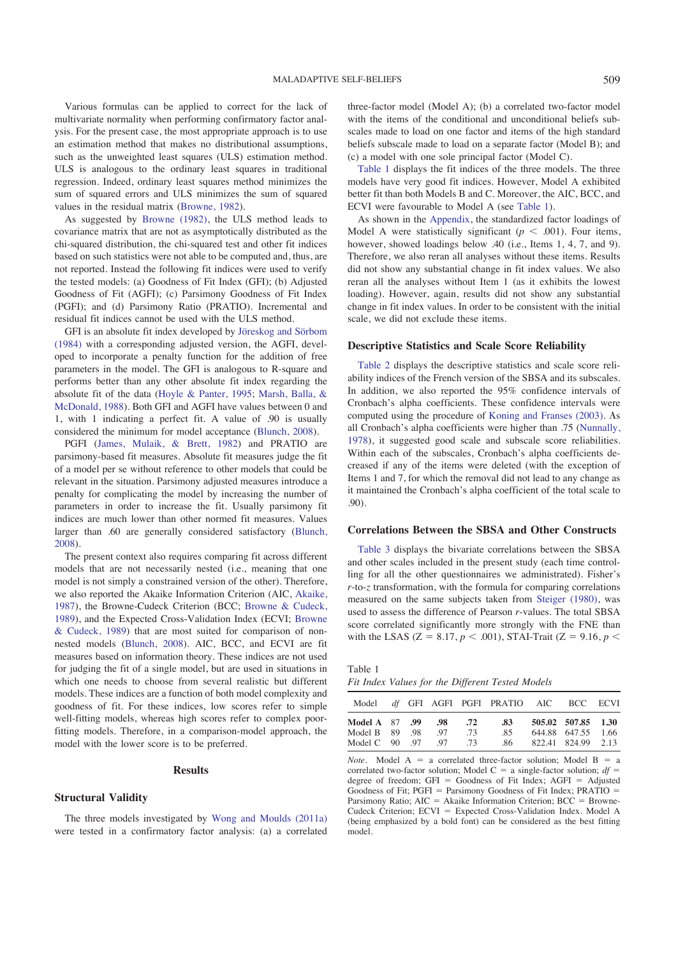Various formulas can be applied to correct for the lack of multivariate normality when performing confirmatory factor analysis. For the present case, the most appropriate approach is to use an estimation method that makes no distributional assumptions, such as the unweighted least squares (ULS) estimation method. ULS is analogous to the ordinary least squares in traditional regression. Indeed, ordinary least squares method minimizes the sum of squared errors and ULS minimizes the sum of squared values in the residual matrix (Browne, 1982).

As suggested by Browne (1982), the ULS method leads to covariance matrix that are not as asymptotically distributed as the chi-squared distribution, the chi-squared test and other fit indices based on such statistics were not able to be computed and, thus, are not reported. Instead the following fit indices were used to verify the tested models: (a) Goodness of Fit Index (GFI); (b) Adjusted Goodness of Fit (AGFI); (c) Parsimony Goodness of Fit Index (PGFI); and (d) Parsimony Ratio (PRATIO). Incremental and residual fit indices cannot be used with the ULS method.

GFI is an absolute fit index developed by Jöreskog and Sörbom (1984) with a corresponding adjusted version, the AGFI, developed to incorporate a penalty function for the addition of free parameters in the model. The GFI is analogous to R-square and performs better than any other absolute fit index regarding the absolute fit of the data (Hoyle & Panter, 1995; Marsh, Balla, & McDonald, 1988). Both GFI and AGFI have values between 0 and 1, with 1 indicating a perfect fit. A value of .90 is usually considered the minimum for model acceptance (Blunch, 2008).

PGFI (James, Mulaik, & Brett, 1982) and PRATIO are parsimony-based fit measures. Absolute fit measures judge the fit of a model per se without reference to other models that could be relevant in the situation. Parsimony adjusted measures introduce a penalty for complicating the model by increasing the number of parameters in order to increase the fit. Usually parsimony fit indices are much lower than other normed fit measures. Values larger than .60 are generally considered satisfactory (Blunch, 2008).

The present context also requires comparing fit across different models that are not necessarily nested (i.e., meaning that one model is not simply a constrained version of the other). Therefore, we also reported the Akaike Information Criterion (AIC, Akaike, 1987), the Browne-Cudeck Criterion (BCC; Browne & Cudeck, 1989), and the Expected Cross-Validation Index (ECVI; Browne & Cudeck, 1989) that are most suited for comparison of nonnested models (Blunch, 2008). AIC, BCC, and ECVI are fit measures based on information theory. These indices are not used for judging the fit of a single model, but are used in situations in which one needs to choose from several realistic but different models. These indices are a function of both model complexity and goodness of fit. For these indices, low scores refer to simple well-fitting models, whereas high scores refer to complex poorfitting models. Therefore, in a comparison-model approach, the model with the lower score is to be preferred.

## **Results**

#### **Structural Validity**

The three models investigated by Wong and Moulds (2011a) were tested in a confirmatory factor analysis: (a) a correlated three-factor model (Model A); (b) a correlated two-factor model with the items of the conditional and unconditional beliefs subscales made to load on one factor and items of the high standard beliefs subscale made to load on a separate factor (Model B); and (c) a model with one sole principal factor (Model C).

Table 1 displays the fit indices of the three models. The three models have very good fit indices. However, Model A exhibited better fit than both Models B and C. Moreover, the AIC, BCC, and ECVI were favourable to Model A (see Table 1).

As shown in the Appendix, the standardized factor loadings of Model A were statistically significant  $(p < .001)$ . Four items, however, showed loadings below .40 (i.e., Items 1, 4, 7, and 9). Therefore, we also reran all analyses without these items. Results did not show any substantial change in fit index values. We also reran all the analyses without Item 1 (as it exhibits the lowest loading). However, again, results did not show any substantial change in fit index values. In order to be consistent with the initial scale, we did not exclude these items.

#### **Descriptive Statistics and Scale Score Reliability**

Table 2 displays the descriptive statistics and scale score reliability indices of the French version of the SBSA and its subscales. In addition, we also reported the 95% confidence intervals of Cronbach's alpha coefficients. These confidence intervals were computed using the procedure of Koning and Franses (2003). As all Cronbach's alpha coefficients were higher than .75 (Nunnally, 1978), it suggested good scale and subscale score reliabilities. Within each of the subscales, Cronbach's alpha coefficients decreased if any of the items were deleted (with the exception of Items 1 and 7, for which the removal did not lead to any change as it maintained the Cronbach's alpha coefficient of the total scale to .90).

# **Correlations Between the SBSA and Other Constructs**

Table 3 displays the bivariate correlations between the SBSA and other scales included in the present study (each time controlling for all the other questionnaires we administrated). Fisher's *r*-to-*z* transformation, with the formula for comparing correlations measured on the same subjects taken from Steiger (1980), was used to assess the difference of Pearson *r*-values. The total SBSA score correlated significantly more strongly with the FNE than with the LSAS (Z = 8.17,  $p < .001$ ), STAI-Trait (Z = 9.16,  $p <$ 

Table 1 *Fit Index Values for the Different Tested Models*

|                        |  |  | Model df GFI AGFI PGFI PRATIO AIC BCC ECVI    |                    |  |
|------------------------|--|--|-----------------------------------------------|--------------------|--|
|                        |  |  | Model A 87 .99 .98 .72 .83 505.02 507.85 1.30 |                    |  |
| Model B 89 .98 .97 .73 |  |  | .85                                           | 644.88 647.55 1.66 |  |
|                        |  |  | Model C 90 .97 .97 .73 .86 822.41 824.99 2.13 |                    |  |

*Note*. Model  $A = a$  correlated three-factor solution; Model  $B = a$ correlated two-factor solution; Model C = a single-factor solution;  $df =$ degree of freedom;  $GFI = Goodness$  of Fit Index;  $AGFI = Adjuated$ Goodness of Fit:  $PGFI$  = Parsimony Goodness of Fit Index;  $PRATIO$  = Parsimony Ratio;  $AIC = Akaike Information Criterion; BCC = Browne-$ Cudeck Criterion; ECVI = Expected Cross-Validation Index. Model A (being emphasized by a bold font) can be considered as the best fitting model.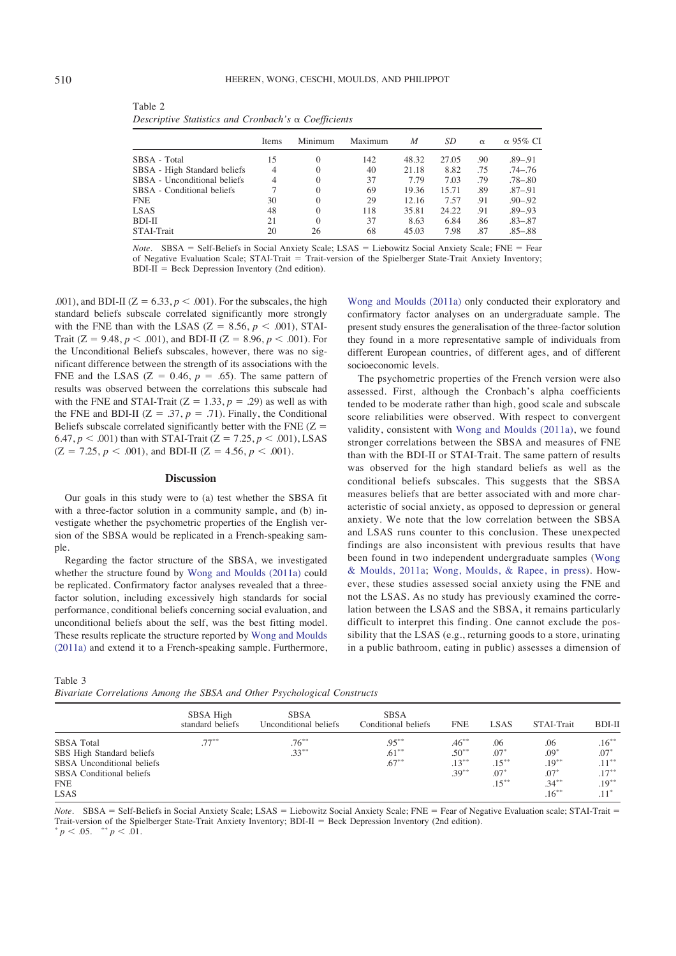| Table 2 |  |                                                             |
|---------|--|-------------------------------------------------------------|
|         |  | Descriptive Statistics and Cronbach's $\alpha$ Coefficients |

|                              | Items | Minimum  | Maximum | M     | SD.   | $\alpha$ | $\alpha$ 95% CI |
|------------------------------|-------|----------|---------|-------|-------|----------|-----------------|
|                              |       |          |         |       |       |          |                 |
| SBSA - Total                 | 15    | $\Omega$ | 142     | 48.32 | 27.05 | .90      | $.89 - .91$     |
| SBSA - High Standard beliefs | 4     | $\Omega$ | 40      | 21.18 | 8.82  | .75      | $.74 - .76$     |
| SBSA - Unconditional beliefs | 4     | $\Omega$ | 37      | 7.79  | 7.03  | .79      | $.78 - .80$     |
| SBSA - Conditional beliefs   |       | $\Omega$ | 69      | 19.36 | 15.71 | .89      | $.87 - .91$     |
| <b>FNE</b>                   | 30    | $\Omega$ | 29      | 12.16 | 7.57  | .91      | $.90 - .92$     |
| <b>LSAS</b>                  | 48    | $\Omega$ | 118     | 35.81 | 24.22 | .91      | $.89 - .93$     |
| BDI-II                       | 21    | $\Omega$ | 37      | 8.63  | 6.84  | .86      | $.83 - .87$     |
| STAI-Trait                   | 20    | 26       | 68      | 45.03 | 7.98  | .87      | $.85 - .88$     |

*Note*. SBSA = Self-Beliefs in Social Anxiety Scale; LSAS = Liebowitz Social Anxiety Scale; FNE = Fear of Negative Evaluation Scale; STAI-Trait = Trait-version of the Spielberger State-Trait Anxiety Inventory;  $BDI-II = Beck Depression Inventory (2nd edition).$ 

.001), and BDI-II ( $Z = 6.33$ ,  $p < .001$ ). For the subscales, the high standard beliefs subscale correlated significantly more strongly with the FNE than with the LSAS ( $Z = 8.56$ ,  $p < .001$ ), STAI-Trait (Z = 9.48,  $p < .001$ ), and BDI-II (Z = 8.96,  $p < .001$ ). For the Unconditional Beliefs subscales, however, there was no significant difference between the strength of its associations with the FNE and the LSAS  $(Z = 0.46, p = .65)$ . The same pattern of results was observed between the correlations this subscale had with the FNE and STAI-Trait  $(Z = 1.33, p = .29)$  as well as with the FNE and BDI-II  $(Z = .37, p = .71)$ . Finally, the Conditional Beliefs subscale correlated significantly better with the FNE  $(Z =$ 6.47,  $p < .001$ ) than with STAI-Trait (Z = 7.25,  $p < .001$ ), LSAS  $(Z = 7.25, p < .001)$ , and BDI-II  $(Z = 4.56, p < .001)$ .

# **Discussion**

Our goals in this study were to (a) test whether the SBSA fit with a three-factor solution in a community sample, and (b) investigate whether the psychometric properties of the English version of the SBSA would be replicated in a French-speaking sample.

Regarding the factor structure of the SBSA, we investigated whether the structure found by Wong and Moulds (2011a) could be replicated. Confirmatory factor analyses revealed that a threefactor solution, including excessively high standards for social performance, conditional beliefs concerning social evaluation, and unconditional beliefs about the self, was the best fitting model. These results replicate the structure reported by Wong and Moulds (2011a) and extend it to a French-speaking sample. Furthermore, Wong and Moulds (2011a) only conducted their exploratory and confirmatory factor analyses on an undergraduate sample. The present study ensures the generalisation of the three-factor solution they found in a more representative sample of individuals from different European countries, of different ages, and of different socioeconomic levels.

The psychometric properties of the French version were also assessed. First, although the Cronbach's alpha coefficients tended to be moderate rather than high, good scale and subscale score reliabilities were observed. With respect to convergent validity, consistent with Wong and Moulds (2011a), we found stronger correlations between the SBSA and measures of FNE than with the BDI-II or STAI-Trait. The same pattern of results was observed for the high standard beliefs as well as the conditional beliefs subscales. This suggests that the SBSA measures beliefs that are better associated with and more characteristic of social anxiety, as opposed to depression or general anxiety. We note that the low correlation between the SBSA and LSAS runs counter to this conclusion. These unexpected findings are also inconsistent with previous results that have been found in two independent undergraduate samples (Wong & Moulds, 2011a; Wong, Moulds, & Rapee, in press). However, these studies assessed social anxiety using the FNE and not the LSAS. As no study has previously examined the correlation between the LSAS and the SBSA, it remains particularly difficult to interpret this finding. One cannot exclude the possibility that the LSAS (e.g., returning goods to a store, urinating in a public bathroom, eating in public) assesses a dimension of

| Table 3 |  |  |  |                                                                          |  |
|---------|--|--|--|--------------------------------------------------------------------------|--|
|         |  |  |  | Bivariate Correlations Among the SBSA and Other Psychological Constructs |  |

|                                                                                                                                       | SBSA High<br>standard beliefs | <b>SBSA</b><br>Unconditional beliefs | <b>SBSA</b><br>Conditional beliefs | <b>FNE</b>                                  | <b>LSAS</b>                                     | <b>STAI-Trait</b>                                           | <b>BDI-II</b>                                                    |
|---------------------------------------------------------------------------------------------------------------------------------------|-------------------------------|--------------------------------------|------------------------------------|---------------------------------------------|-------------------------------------------------|-------------------------------------------------------------|------------------------------------------------------------------|
| <b>SBSA</b> Total<br>SBS High Standard beliefs<br>SBSA Unconditional beliefs<br>SBSA Conditional beliefs<br><b>FNE</b><br><b>LSAS</b> | $.77***$                      | $.76***$<br>$.33***$                 | $.95***$<br>$.61***$<br>$.67***$   | $.46***$<br>$.50**$<br>$.13***$<br>$.39***$ | .06<br>$.07*$<br>$.15***$<br>$.07*$<br>$.15***$ | .06<br>$.09*$<br>$.19***$<br>$.07*$<br>$.34***$<br>$.16***$ | $.16***$<br>$.07*$<br>$.11***$<br>$.17***$<br>$.19***$<br>$.11*$ |

*Note*. SBSA = Self-Beliefs in Social Anxiety Scale; LSAS = Liebowitz Social Anxiety Scale; FNE = Fear of Negative Evaluation scale; STAI-Trait = Trait-version of the Spielberger State-Trait Anxiety Inventory; BDI-II = Beck Depression Inventory (2nd edition).  $p < .05$ .  $\binom{p}{k}$   $p < .01$ .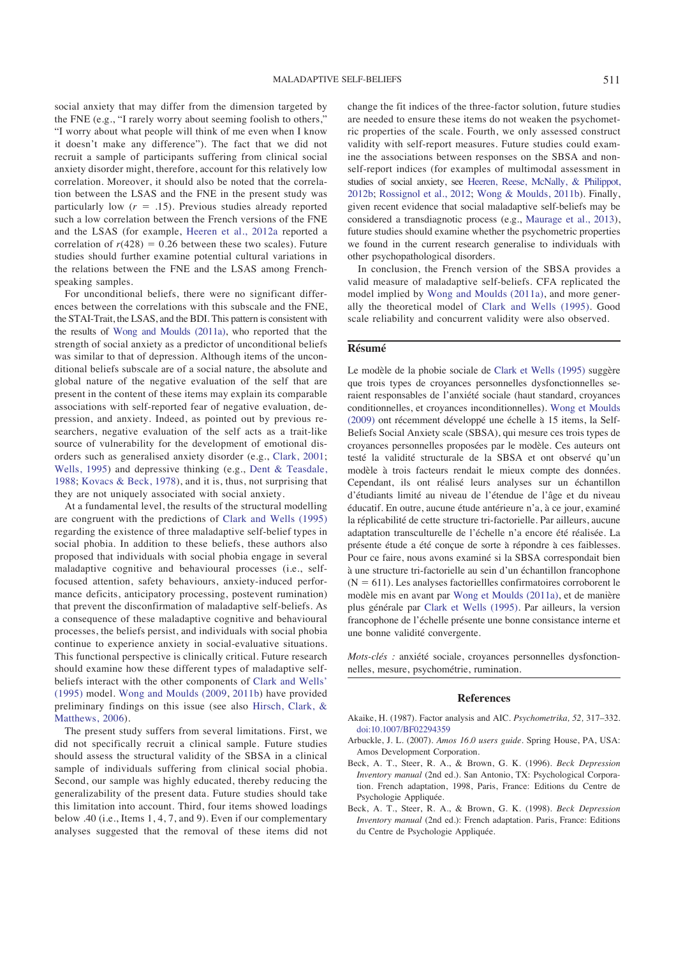social anxiety that may differ from the dimension targeted by the FNE (e.g., "I rarely worry about seeming foolish to others," "I worry about what people will think of me even when I know it doesn't make any difference"). The fact that we did not recruit a sample of participants suffering from clinical social anxiety disorder might, therefore, account for this relatively low correlation. Moreover, it should also be noted that the correlation between the LSAS and the FNE in the present study was particularly low  $(r = .15)$ . Previous studies already reported such a low correlation between the French versions of the FNE and the LSAS (for example, Heeren et al., 2012a reported a correlation of  $r(428) = 0.26$  between these two scales). Future studies should further examine potential cultural variations in the relations between the FNE and the LSAS among Frenchspeaking samples.

For unconditional beliefs, there were no significant differences between the correlations with this subscale and the FNE, the STAI-Trait, the LSAS, and the BDI. This pattern is consistent with the results of Wong and Moulds (2011a), who reported that the strength of social anxiety as a predictor of unconditional beliefs was similar to that of depression. Although items of the unconditional beliefs subscale are of a social nature, the absolute and global nature of the negative evaluation of the self that are present in the content of these items may explain its comparable associations with self-reported fear of negative evaluation, depression, and anxiety. Indeed, as pointed out by previous researchers, negative evaluation of the self acts as a trait-like source of vulnerability for the development of emotional disorders such as generalised anxiety disorder (e.g., Clark, 2001; Wells, 1995) and depressive thinking (e.g., Dent & Teasdale, 1988; Kovacs & Beck, 1978), and it is, thus, not surprising that they are not uniquely associated with social anxiety.

At a fundamental level, the results of the structural modelling are congruent with the predictions of Clark and Wells (1995) regarding the existence of three maladaptive self-belief types in social phobia. In addition to these beliefs, these authors also proposed that individuals with social phobia engage in several maladaptive cognitive and behavioural processes (i.e., selffocused attention, safety behaviours, anxiety-induced performance deficits, anticipatory processing, postevent rumination) that prevent the disconfirmation of maladaptive self-beliefs. As a consequence of these maladaptive cognitive and behavioural processes, the beliefs persist, and individuals with social phobia continue to experience anxiety in social-evaluative situations. This functional perspective is clinically critical. Future research should examine how these different types of maladaptive selfbeliefs interact with the other components of Clark and Wells' (1995) model. Wong and Moulds (2009, 2011b) have provided preliminary findings on this issue (see also Hirsch, Clark, & Matthews, 2006).

The present study suffers from several limitations. First, we did not specifically recruit a clinical sample. Future studies should assess the structural validity of the SBSA in a clinical sample of individuals suffering from clinical social phobia. Second, our sample was highly educated, thereby reducing the generalizability of the present data. Future studies should take this limitation into account. Third, four items showed loadings below .40 (i.e., Items 1, 4, 7, and 9). Even if our complementary analyses suggested that the removal of these items did not

change the fit indices of the three-factor solution, future studies are needed to ensure these items do not weaken the psychometric properties of the scale. Fourth, we only assessed construct validity with self-report measures. Future studies could examine the associations between responses on the SBSA and nonself-report indices (for examples of multimodal assessment in studies of social anxiety, see Heeren, Reese, McNally, & Philippot, 2012b; Rossignol et al., 2012; Wong & Moulds, 2011b). Finally, given recent evidence that social maladaptive self-beliefs may be considered a transdiagnotic process (e.g., Maurage et al., 2013), future studies should examine whether the psychometric properties we found in the current research generalise to individuals with other psychopathological disorders.

In conclusion, the French version of the SBSA provides a valid measure of maladaptive self-beliefs. CFA replicated the model implied by Wong and Moulds (2011a), and more generally the theoretical model of Clark and Wells (1995). Good scale reliability and concurrent validity were also observed.

# **Résumé**

Le modèle de la phobie sociale de Clark et Wells (1995) suggère que trois types de croyances personnelles dysfonctionnelles seraient responsables de l'anxiété sociale (haut standard, croyances conditionnelles, et croyances inconditionnelles). Wong et Moulds (2009) ont récemment développé une échelle a` 15 items, la Self-Beliefs Social Anxiety scale (SBSA), qui mesure ces trois types de croyances personnelles proposées par le modèle. Ces auteurs ont testé la validité structurale de la SBSA et ont observé qu'un modèle a` trois facteurs rendait le mieux compte des données. Cependant, ils ont réalisé leurs analyses sur un échantillon d'étudiants limité au niveau de l'étendue de l'âge et du niveau éducatif. En outre, aucune étude antérieure n'a, a` ce jour, examiné la réplicabilité de cette structure tri-factorielle. Par ailleurs, aucune adaptation transculturelle de l'échelle n'a encore été réalisée. La présente étude a été conçue de sorte a` répondre a` ces faiblesses. Pour ce faire, nous avons examiné si la SBSA correspondait bien a` une structure tri-factorielle au sein d'un échantillon francophone  $(N = 611)$ . Les analyses factoriellles confirmatoires corroborent le modèle mis en avant par Wong et Moulds (2011a), et de manière plus générale par Clark et Wells (1995). Par ailleurs, la version francophone de l'échelle présente une bonne consistance interne et une bonne validité convergente.

*Mots-clés :* anxiété sociale, croyances personnelles dysfonctionnelles, mesure, psychométrie, rumination.

#### **References**

- Akai[ke, H. \(1987\). Factor analy](http://dx.doi.org/10.1007/BF02294359)sis and AIC. *Psychometrika, 52,* 317–332. doi:10.1007/BF02294359
- Arbuckle, J. L. (2007). *Amos 16.0 users guide*. Spring House, PA, USA: Amos Development Corporation.
- Beck, A. T., Steer, R. A., & Brown, G. K. (1996). *Beck Depression Inventory manual* (2nd ed.). San Antonio, TX: Psychological Corporation. French adaptation, 1998, Paris, France: Editions du Centre de Psychologie Appliquée.
- Beck, A. T., Steer, R. A., & Brown, G. K. (1998). *Beck Depression Inventory manual* (2nd ed.): French adaptation. Paris, France: Editions du Centre de Psychologie Appliquée.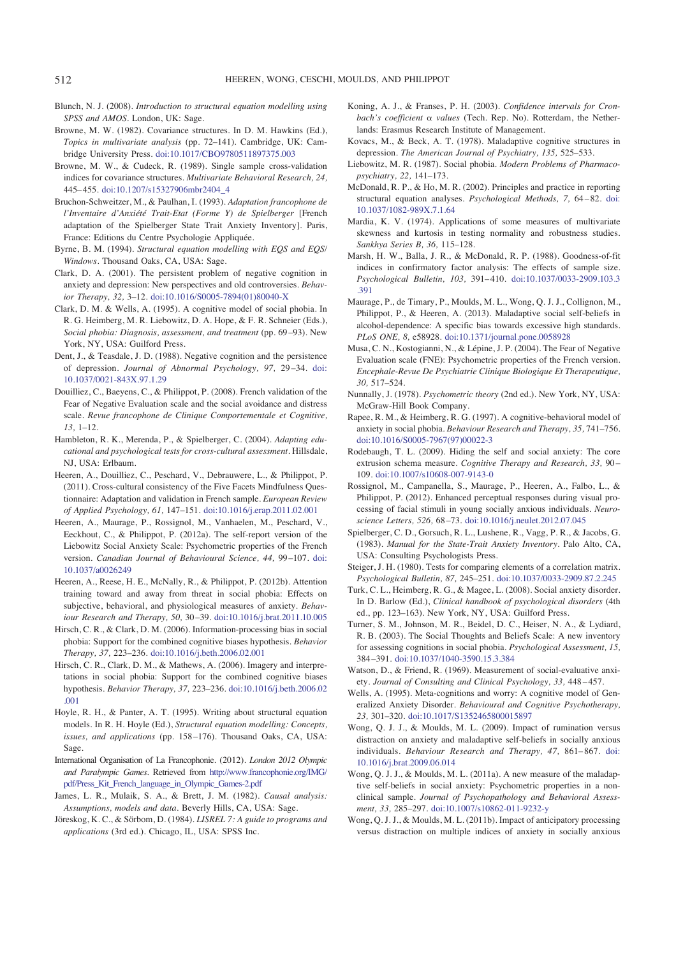- Blunch, N. J. (2008). *Introduction to structural equation modelling using SPSS and AMOS*. London, UK: Sage.
- Browne, M. W. (1982). Covariance structures. In D. M. Hawkins (Ed.), *Topics in multivariate analysis* [\(pp. 72–141\). Cambridge, UK:](http://dx.doi.org/10.1017/CBO9780511897375.003) Cambridge University Press. doi:10.1017/CBO9780511897375.003
- Browne, M. W., & Cudeck, R. (1989). Single sample cross-validation indices for c[ovariance structures.](http://dx.doi.org/10.1207/s15327906mbr2404_4) *Multivariate Behavioral Research, 24,* 445– 455. doi:10.1207/s15327906mbr2404\_4
- Bruchon-Schweitzer, M., & Paulhan, I. (1993). *Adaptation francophone de l'Inventaire d'Anxiété Trait-Etat (Forme Y) de Spielberger* [French adaptation of the Spielberger State Trait Anxiety Inventory]. Paris, France: Editions du Centre Psychologie Appliquée.
- Byrne, B. M. (1994). *Structural equation modelling with EQS and EQS/ Windows*. Thousand Oaks, CA, USA: Sage.
- Clark, D. A. (2001). The persistent problem of negative cognition in anxiety and depression: N[ew perspectives and old controversies.](http://dx.doi.org/10.1016/S0005-7894%2801%2980040-X) *Behavior Therapy, 32,* 3–12. doi:10.1016/S0005-7894(01)80040-X
- Clark, D. M. & Wells, A. (1995). A cognitive model of social phobia. In R. G. Heimberg, M. R. Liebowitz, D. A. Hope, & F. R. Schneier (Eds.), *Social phobia: Diagnosis, assessment, and treatment* (pp. 69 –93). New York, NY, USA: Guilford Press.
- Dent, J., & Teasdale, J. D. (1988). Negative cognition and the persisten[ce](http://dx.doi.org/10.1037/0021-843X.97.1.29) of depression. *[Journal of Ab](http://dx.doi.org/10.1037/0021-843X.97.1.29)normal Psychology, 97,* 29 –34. doi: 10.1037/0021-843X.97.1.29
- Douilliez, C., Baeyens, C., & Philippot, P. (2008). French validation of the Fear of Negative Evaluation scale and the social avoidance and distress scale. *Revue francophone de Clinique Comportementale et Cognitive, 13,* 1–12.
- Hambleton, R. K., Merenda, P., & Spielberger, C. (2004). *Adapting educational and psychological tests for cross-cultural assessment*. Hillsdale, NJ, USA: Erlbaum.
- Heeren, A., Douilliez, C., Peschard, V., Debrauwere, L., & Philippot, P. (2011). Cross-cultural consistency of the Five Facets Mindfulness Questionnaire: Adaptation and validation in French sample. *[European Review](http://dx.doi.org/10.1016/j.erap.2011.02.001) of Applied Psychology, 61,* 147–151. doi:10.1016/j.erap.2011.02.001
- Heeren, A., Maurage, P., Rossignol, M., Vanhaelen, M., Peschard, V., Eeckhout, C., & Philippot, P. (2012a). The self-report version of the Liebowitz Social Anxiety Scale: Psychometric properties of the Fren[ch](http://dx.doi.org/10.1037/a0026249) version. *[Canadian Jo](http://dx.doi.org/10.1037/a0026249)urnal of Behavioural Science, 44,* 99 –107. doi: 10.1037/a0026249
- Heeren, A., Reese, H. E., McNally, R., & Philippot, P. (2012b). Attention training toward and away from threat in social phobia: Effects on subjective, behavioral, and physiological [measures of anxiety.](http://dx.doi.org/10.1016/j.brat.2011.10.005) *Behaviour Research and Therapy, 50,* 30 –39. doi:10.1016/j.brat.2011.10.005
- Hirsch, C. R., & Clark, D. M. (2006). Information-processing bias in social phobia: Support for the co[mbined cognitive biases hypothe](http://dx.doi.org/10.1016/j.beth.2006.02.001)sis. *Behavior Therapy, 37,* 223–236. doi:10.1016/j.beth.2006.02.001
- Hirsch, C. R., Clark, D. M., & Mathews, A. (2006). Imagery and interpretations in social phobia: Support for the co[mbined cognitive biases](http://dx.doi.org/10.1016/j.beth.2006.02.001) h[ypothe](http://dx.doi.org/10.1016/j.beth.2006.02.001)sis. *Behavior Therapy, 37,* 223–236. doi:10.1016/j.beth.2006.02 .001
- Hoyle, R. H., & Panter, A. T. (1995). Writing about structural equation models. In R. H. Hoyle (Ed.), *Structural equation modelling: Concepts, issues, and applications* (pp. 158 –176). Thousand Oaks, CA, USA: Sage.
- International Organisation of La Francophonie. (2012). *[London 2012 Olympic](http://www.francophonie.org/IMG/pdf/Press_Kit_French_language_in_Olympic_Games-2.pdf) an[d Paralympic Games](http://www.francophonie.org/IMG/pdf/Press_Kit_French_language_in_Olympic_Games-2.pdf)*. Retrieved from http://www.francophonie.org/IMG/ pdf/Press\_Kit\_French\_language\_in\_Olympic\_Games-2.pdf
- James, L. R., Mulaik, S. A., & Brett, J. M. (1982). *Causal analysis: Assumptions, models and data*. Beverly Hills, CA, USA: Sage.
- Jöreskog, K. C., & Sörbom, D. (1984). *LISREL 7: A guide to programs and applications* (3rd ed.). Chicago, IL, USA: SPSS Inc.
- Koning, A. J., & Franses, P. H. (2003). *Confidence intervals for Cronbach's coefficient* & *values* (Tech. Rep. No). Rotterdam, the Netherlands: Erasmus Research Institute of Management.
- Kovacs, M., & Beck, A. T. (1978). Maladaptive cognitive structures in depression. *The American Journal of Psychiatry, 135,* 525–533.
- Liebowitz, M. R. (1987). Social phobia. *Modern Problems of Pharmacopsychiatry, 22,* 141–173.
- McDonald, R. P., & Ho, M. R. (2002). Principles and practice in reporti[ng](http://dx.doi.org/10.1037/1082-989X.7.1.64) str[uctural equation analyses.](http://dx.doi.org/10.1037/1082-989X.7.1.64) *Psychological Methods*, 7, 64-82. doi: 10.1037/1082-989X.7.1.64
- Mardia, K. V. (1974). Applications of some measures of multivariate skewness and kurtosis in testing normality and robustness studies. *Sankhya Series B, 36,* 115–128.
- Marsh, H. W., Balla, J. R., & McDonald, R. P. (1988). Goodness-of-fit indices in confirmatory factor analysis: T[he effects of sample size.](http://dx.doi.org/10.1037/0033-2909.103.3.391) *P[sychol](http://dx.doi.org/10.1037/0033-2909.103.3.391)ogical Bulletin, 103,* 391– 410. doi:10.1037/0033-2909.103.3 .391
- Maurage, P., de Timary, P., Moulds, M. L., Wong, Q. J. J., Collignon, M., Philippot, P., & Heeren, A. (2013). Maladaptive social self-beliefs in alcohol-dependence: A sp[ecific bias towards excessive high](http://dx.doi.org/10.1371/journal.pone.0058928) standards. *PLoS ONE, 8,* e58928. doi:10.1371/journal.pone.0058928
- Musa, C. N., Kostogianni, N., & Lépine, J. P. (2004). The Fear of Negative Evaluation scale (FNE): Psychometric properties of the French version. *Encephale-Revue De Psychiatrie Clinique Biologique Et Therapeutique, 30,* 517–524.
- Nunnally, J. (1978). *Psychometric theory* (2nd ed.). New York, NY, USA: McGraw-Hill Book Company.
- Rapee, R. M., & Heimberg, R. G. (1997). A cognitive-behavioral model of an[xiety in social phobia.](http://dx.doi.org/10.1016/S0005-7967%2897%2900022-3) *Behaviour Research and Therapy, 35,* 741–756. doi:10.1016/S0005-7967(97)00022-3
- Rodebaugh, T. L. (2009). Hiding the self and social anxiety: The core extrusi[on schema measure.](http://dx.doi.org/10.1007/s10608-007-9143-0) *Cognitive Therapy and Research, 33,* 90 – 109. doi:10.1007/s10608-007-9143-0
- Rossignol, M., Campanella, S., Maurage, P., Heeren, A., Falbo, L., & Philippot, P. (2012). Enhanced perceptual responses during visual processing of facial stimuli in you[ng socially anxious individuals.](http://dx.doi.org/10.1016/j.neulet.2012.07.045) *Neuroscience Letters, 526,* 68 –73. doi:10.1016/j.neulet.2012.07.045
- Spielberger, C. D., Gorsuch, R. L., Lushene, R., Vagg, P. R., & Jacobs, G. (1983). *Manual for the State-Trait Anxiety Inventory*. Palo Alto, CA, USA: Consulting Psychologists Press.
- Steiger, J. H. (1980). Tests for comparing [elements of a correlation matrix.](http://dx.doi.org/10.1037/0033-2909.87.2.245) *Psychological Bulletin, 87,* 245–251. doi:10.1037/0033-2909.87.2.245
- Turk, C. L., Heimberg, R. G., & Magee, L. (2008). Social anxiety disorder. In D. Barlow (Ed.), *Clinical handbook of psychological disorders* (4th ed., pp. 123–163). New York, NY, USA: Guilford Press.
- Turner, S. M., Johnson, M. R., Beidel, D. C., Heiser, N. A., & Lydiard, R. B. (2003). The Social Thoughts and Beliefs Scale: A new inventory for assessing [cognitions in social phobia.](http://dx.doi.org/10.1037/1040-3590.15.3.384) *Psychological Assessment, 15,* 384 –391. doi:10.1037/1040-3590.15.3.384
- Watson, D., & Friend, R. (1969). Measurement of social-evaluative anxiety. *Journal of Consulting and Clinical Psychology, 33,* 448 – 457.
- Wells, A. (1995). Meta-cognitions and worry: A cognitive model of Generalized Anxiety Disorder. *[Behavioural and Cogn](http://dx.doi.org/10.1017/S1352465800015897)itive Psychotherapy, 23,* 301–320. doi:10.1017/S1352465800015897
- Wong, Q. J. J., & Moulds, M. L. (2009). Impact of rumination versus distraction on anxiety and maladaptive self-beliefs in socially anxio[us](http://dx.doi.org/10.1016/j.brat.2009.06.014) individuals. *[Behaviour Rese](http://dx.doi.org/10.1016/j.brat.2009.06.014)arch and Therapy, 47,* 861– 867. doi: 10.1016/j.brat.2009.06.014
- Wong, Q. J. J., & Moulds, M. L. (2011a). A new measure of the maladaptive self-beliefs in social anxiety: Psychometric properties in a nonclinical sample. *Jour[nal of Psychopathology and Beh](http://dx.doi.org/10.1007/s10862-011-9232-y)avioral Assessment, 33,* 285–297. doi:10.1007/s10862-011-9232-y
- Wong, Q. J. J., & Moulds, M. L. (2011b). Impact of anticipatory processing versus distraction on multiple indices of anxiety in socially anxious